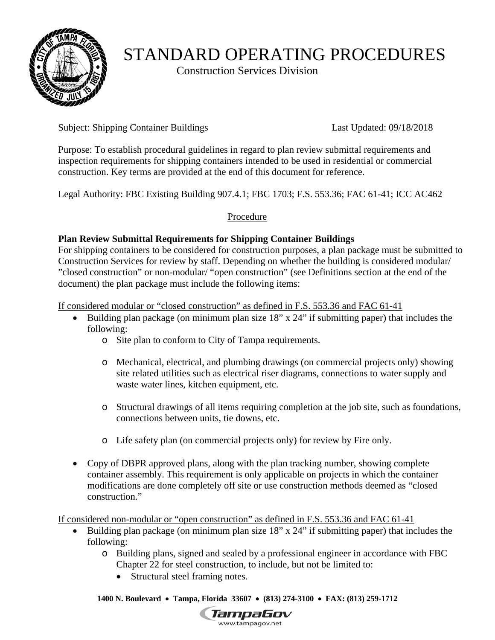

# STANDARD OPERATING PROCEDURES

Construction Services Division

Subject: Shipping Container Buildings Last Updated: 09/18/2018

Purpose: To establish procedural guidelines in regard to plan review submittal requirements and inspection requirements for shipping containers intended to be used in residential or commercial construction. Key terms are provided at the end of this document for reference.

Legal Authority: FBC Existing Building 907.4.1; FBC 1703; F.S. 553.36; FAC 61-41; ICC AC462

# Procedure

# **Plan Review Submittal Requirements for Shipping Container Buildings**

For shipping containers to be considered for construction purposes, a plan package must be submitted to Construction Services for review by staff. Depending on whether the building is considered modular/ "closed construction" or non-modular/ "open construction" (see Definitions section at the end of the document) the plan package must include the following items:

If considered modular or "closed construction" as defined in F.S. 553.36 and FAC 61-41

- Building plan package (on minimum plan size 18" x 24" if submitting paper) that includes the following:
	- o Site plan to conform to City of Tampa requirements.
	- o Mechanical, electrical, and plumbing drawings (on commercial projects only) showing site related utilities such as electrical riser diagrams, connections to water supply and waste water lines, kitchen equipment, etc.
	- o Structural drawings of all items requiring completion at the job site, such as foundations, connections between units, tie downs, etc.
	- o Life safety plan (on commercial projects only) for review by Fire only.
- Copy of DBPR approved plans, along with the plan tracking number, showing complete container assembly. This requirement is only applicable on projects in which the container modifications are done completely off site or use construction methods deemed as "closed construction."

If considered non-modular or "open construction" as defined in F.S. 553.36 and FAC 61-41

- Building plan package (on minimum plan size  $18$ " x  $24$ " if submitting paper) that includes the following:
	- o Building plans, signed and sealed by a professional engineer in accordance with FBC Chapter 22 for steel construction, to include, but not be limited to:
		- Structural steel framing notes.

 **1400 N. Boulevard Tampa, Florida 33607 (813) 274-3100 FAX: (813) 259-1712** 

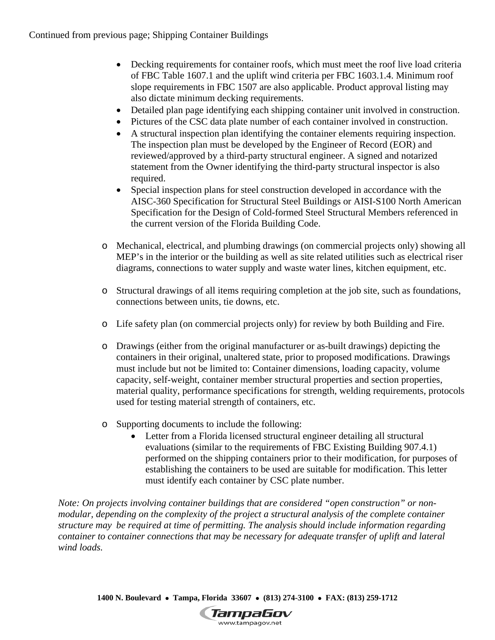- Decking requirements for container roofs, which must meet the roof live load criteria of FBC Table 1607.1 and the uplift wind criteria per FBC 1603.1.4. Minimum roof slope requirements in FBC 1507 are also applicable. Product approval listing may also dictate minimum decking requirements.
- Detailed plan page identifying each shipping container unit involved in construction.
- Pictures of the CSC data plate number of each container involved in construction.
- A structural inspection plan identifying the container elements requiring inspection. The inspection plan must be developed by the Engineer of Record (EOR) and reviewed/approved by a third-party structural engineer. A signed and notarized statement from the Owner identifying the third-party structural inspector is also required.
- Special inspection plans for steel construction developed in accordance with the AISC-360 Specification for Structural Steel Buildings or AISI-S100 North American Specification for the Design of Cold-formed Steel Structural Members referenced in the current version of the Florida Building Code.
- o Mechanical, electrical, and plumbing drawings (on commercial projects only) showing all MEP's in the interior or the building as well as site related utilities such as electrical riser diagrams, connections to water supply and waste water lines, kitchen equipment, etc.
- o Structural drawings of all items requiring completion at the job site, such as foundations, connections between units, tie downs, etc.
- o Life safety plan (on commercial projects only) for review by both Building and Fire.
- o Drawings (either from the original manufacturer or as-built drawings) depicting the containers in their original, unaltered state, prior to proposed modifications. Drawings must include but not be limited to: Container dimensions, loading capacity, volume capacity, self-weight, container member structural properties and section properties, material quality, performance specifications for strength, welding requirements, protocols used for testing material strength of containers, etc.
- o Supporting documents to include the following:
	- Letter from a Florida licensed structural engineer detailing all structural evaluations (similar to the requirements of FBC Existing Building 907.4.1) performed on the shipping containers prior to their modification, for purposes of establishing the containers to be used are suitable for modification. This letter must identify each container by CSC plate number.

*Note: On projects involving container buildings that are considered "open construction" or nonmodular, depending on the complexity of the project a structural analysis of the complete container structure may be required at time of permitting. The analysis should include information regarding container to container connections that may be necessary for adequate transfer of uplift and lateral wind loads.* 

 **1400 N. Boulevard Tampa, Florida 33607 (813) 274-3100 FAX: (813) 259-1712**